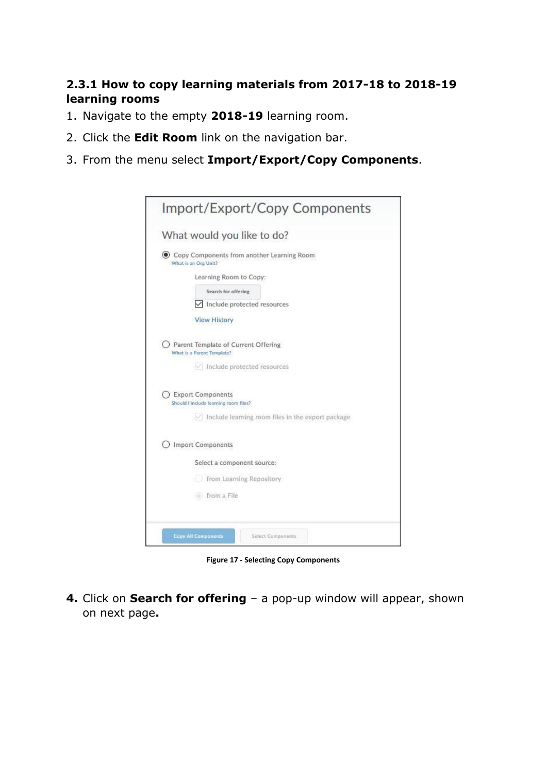## **2.3.1 How to copy learning materials from 2017-18 to 2018-19 learning rooms**

- 1. Navigate to the empty **2018-19** learning room.
- 2. Click the **Edit Room** link on the navigation bar.
- 3. From the menu select **Import/Export/Copy Components**.

| What would you like to do?                                                                              |
|---------------------------------------------------------------------------------------------------------|
|                                                                                                         |
| Copy Components from another Learning Room<br>What is an Org Unit?                                      |
| Learning Room to Copy:                                                                                  |
| Search for offering                                                                                     |
| Include protected resources                                                                             |
| <b>View History</b>                                                                                     |
| Parent Template of Current Offering<br>What is a Parent Template?<br>$\vee$ Include protected resources |
| <b>Export Components</b><br>Should I include learning room files?                                       |
| Include learning room files in the export package                                                       |
| <b>Import Components</b>                                                                                |
| Select a component source:                                                                              |
| from Learning Repository                                                                                |
| (a) from a File                                                                                         |

**Figure 17 - Selecting Copy Components**

**4.** Click on **Search for offering** – a pop-up window will appear, shown on next page**.**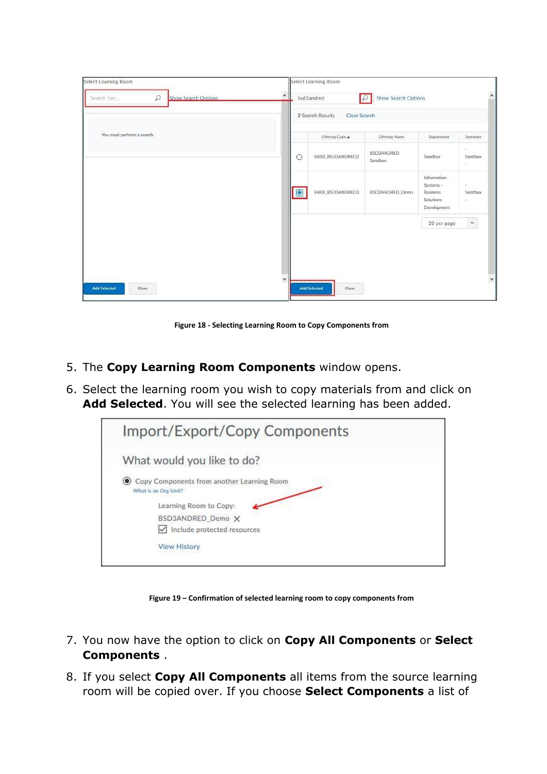| $\hat{ }$    |                  |                                                                                        |                                                                  |                               |
|--------------|------------------|----------------------------------------------------------------------------------------|------------------------------------------------------------------|-------------------------------|
|              |                  |                                                                                        |                                                                  |                               |
|              | Offering Code &  | Offering Name                                                                          | Department                                                       | Semester                      |
| $\circ$      | SNBX_BSD3ANDRED2 | <b>BSD3ANDRED</b><br>Sandbox                                                           | Sandbox                                                          | $\sim$<br>Sandbox<br>$\omega$ |
| $\bullet$    | SNBX_BSD3ANDRED3 | BSD3ANDRED_Demo                                                                        | Information<br>Systems -<br>Business<br>Solutions<br>Development | $\alpha$<br>Sandbox<br>$\sim$ |
|              |                  |                                                                                        | 20 per page                                                      | $\checkmark$                  |
| $\checkmark$ |                  |                                                                                        |                                                                  |                               |
|              |                  | Select Learning Room<br>bsd3andred<br>2 Search Results<br><b>Add Selected</b><br>Close | ∣₽<br>Clear Search                                               | <b>Show Search Options</b>    |

**Figure 18 - Selecting Learning Room to Copy Components from**

- 5. The **Copy Learning Room Components** window opens.
- 6. Select the learning room you wish to copy materials from and click on **Add Selected**. You will see the selected learning has been added.



**Figure 19 – Confirmation of selected learning room to copy components from**

- 7. You now have the option to click on **Copy All Components** or **Select Components** .
- 8. If you select **Copy All Components** all items from the source learning room will be copied over. If you choose **Select Components** a list of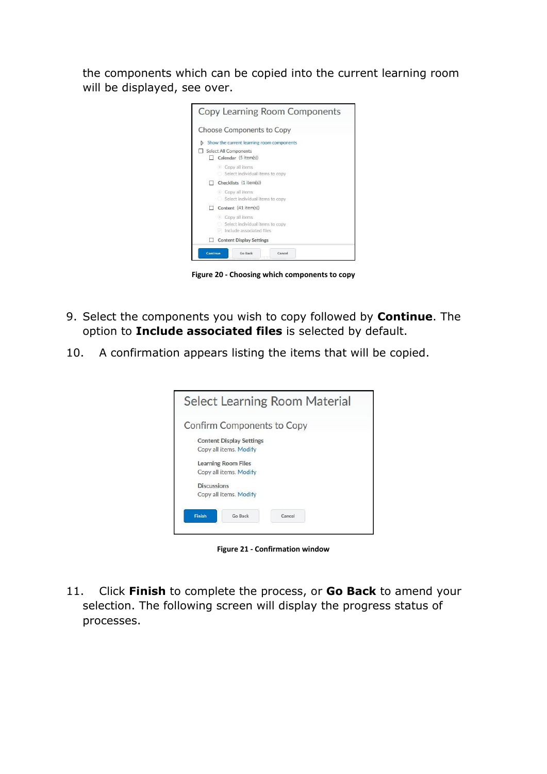the components which can be copied into the current learning room will be displayed, see over.



**Figure 20 - Choosing which components to copy**

- 9. Select the components you wish to copy followed by **Continue**. The option to **Include associated files** is selected by default.
- 10. A confirmation appears listing the items that will be copied.

| Select Learning Room Material      |
|------------------------------------|
| <b>Confirm Components to Copy</b>  |
| <b>Content Display Settings</b>    |
| Copy all items. Modify             |
| <b>Learning Room Files</b>         |
| Copy all items. Modify             |
| <b>Discussions</b>                 |
| Copy all items. Modify             |
|                                    |
| Go Back<br><b>Finish</b><br>Cancel |
|                                    |

**Figure 21 - Confirmation window**

11. Click **Finish** to complete the process, or **Go Back** to amend your selection. The following screen will display the progress status of processes.